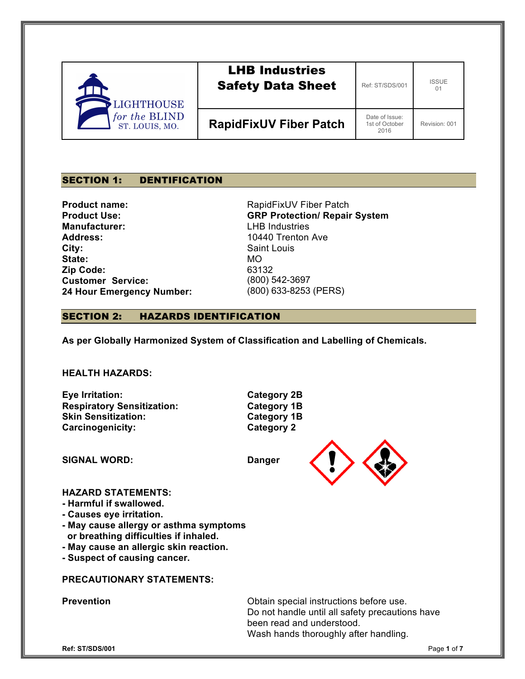| <b>LIGHTHOUSE</b>               | <b>LHB Industries</b><br><b>Safety Data Sheet</b> | Ref: ST/SDS/001                          | <b>ISSUE</b><br>01 |
|---------------------------------|---------------------------------------------------|------------------------------------------|--------------------|
| for the BLIND<br>ST. LOUIS, MO. | <b>RapidFixUV Fiber Patch</b>                     | Date of Issue:<br>1st of October<br>2016 | Revision: 001      |

## SECTION 1: DENTIFICATION

**Product name: Product Use: Manufacturer: Address: City: State: Zip Code: Customer Service: 24 Hour Emergency Number:**

RapidFixUV Fiber Patch **GRP Protection/ Repair System**  LHB Industries 10440 Trenton Ave Saint Louis MO 63132 (800) 542-3697 (800) 633-8253 (PERS)

### SECTION 2: HAZARDS IDENTIFICATION

**As per Globally Harmonized System of Classification and Labelling of Chemicals.**

**HEALTH HAZARDS:**

**Eye Irritation: Category 2B Respiratory Sensitization: Category 1B Skin Sensitization: Category 1B Carcinogenicity: Category 2**

**SIGNAL WORD: Danger**



## **HAZARD STATEMENTS:**

- **- Harmful if swallowed.**
- **- Causes eye irritation.**
- **- May cause allergy or asthma symptoms or breathing difficulties if inhaled.**
- **- May cause an allergic skin reaction.**
- **- Suspect of causing cancer.**

### **PRECAUTIONARY STATEMENTS:**

**Prevention Prevention Prevention Obtain special instructions before use.** Do not handle until all safety precautions have been read and understood. Wash hands thoroughly after handling.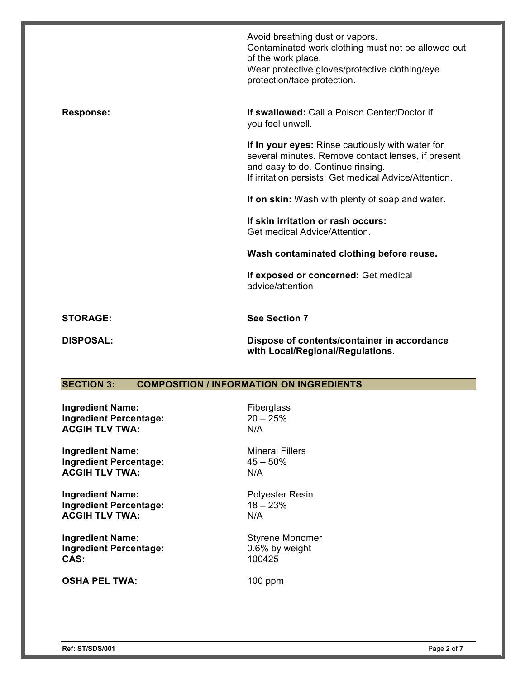|                  | Avoid breathing dust or vapors.<br>Contaminated work clothing must not be allowed out<br>of the work place.<br>Wear protective gloves/protective clothing/eye<br>protection/face protection.         |
|------------------|------------------------------------------------------------------------------------------------------------------------------------------------------------------------------------------------------|
| <b>Response:</b> | <b>If swallowed:</b> Call a Poison Center/Doctor if<br>you feel unwell.                                                                                                                              |
|                  | If in your eyes: Rinse cautiously with water for<br>several minutes. Remove contact lenses, if present<br>and easy to do. Continue rinsing.<br>If irritation persists: Get medical Advice/Attention. |
|                  | If on skin: Wash with plenty of soap and water.                                                                                                                                                      |
|                  | If skin irritation or rash occurs:<br>Get medical Advice/Attention.                                                                                                                                  |
|                  | Wash contaminated clothing before reuse.                                                                                                                                                             |
|                  | If exposed or concerned: Get medical<br>advice/attention                                                                                                                                             |
| <b>STORAGE:</b>  | <b>See Section 7</b>                                                                                                                                                                                 |
| <b>DISPOSAL:</b> | Dispose of contents/container in accordance<br>with Local/Regional/Regulations.                                                                                                                      |

# **SECTION 3: COMPOSITION / INFORMATION ON INGREDIENTS**

**Ingredient Name:** Fiberglass **Ingredient Percentage:** 20 – 25% **ACGIH TLV TWA:** N/A

**Ingredient Name:** Mineral Fillers<br> **Ingredient Percentage:** 45 – 50% **Ingredient Percentage: ACGIH TLV TWA:** N/A

**Ingredient Name:** Polyester Resin **Ingredient Percentage:** 18 – 23%<br> **ACGIH TLV TWA:** N/A **ACGIH TLV TWA:** 

**Ingredient Name:** Styrene Monomer **Ingredient Percentage:** 0.6% by weight **CAS:** 100425

**OSHA PEL TWA:** 100 ppm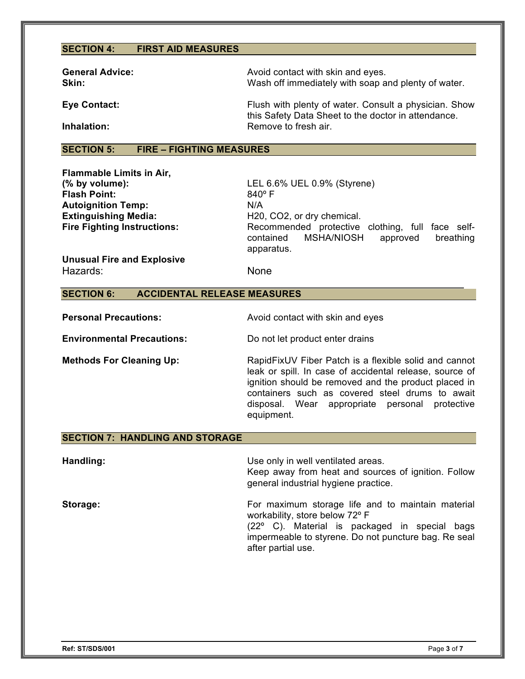## **SECTION 4: FIRST AID MEASURES**

| <b>General Advice:</b><br>Skin: | Avoid contact with skin and eyes.<br>Wash off immediately with soap and plenty of water.                     |
|---------------------------------|--------------------------------------------------------------------------------------------------------------|
| <b>Eye Contact:</b>             | Flush with plenty of water. Consult a physician. Show<br>this Safety Data Sheet to the doctor in attendance. |
| Inhalation:                     | Remove to fresh air.                                                                                         |

### **SECTION 5: FIRE – FIGHTING MEASURES**

**Flammable Limits in Air,** Flash Point: 840° F **Autoignition Temp:** N/A

**(% by volume):** LEL 6.6% UEL 0.9% (Styrene) **Extinguishing Media:** H20, CO2, or dry chemical. **Fire Fighting Instructions:** Recommended protective clothing, full face selfcontained MSHA/NIOSH approved breathing apparatus.

**Unusual Fire and Explosive** Hazards: None

### **SECTION 6: ACCIDENTAL RELEASE MEASURES**

**Personal Precautions:** Avoid contact with skin and eyes

**Environmental Precautions:** Do not let product enter drains

**Methods For Cleaning Up:** RapidFixUV Fiber Patch is a flexible solid and cannot leak or spill. In case of accidental release, source of ignition should be removed and the product placed in containers such as covered steel drums to await disposal. Wear appropriate personal protective equipment.

### **SECTION 7: HANDLING AND STORAGE**

**Handling:** Use only in well ventilated areas. Keep away from heat and sources of ignition. Follow general industrial hygiene practice.

**Storage: For maximum storage life and to maintain material** workability, store below 72º F (22º C). Material is packaged in special bags impermeable to styrene. Do not puncture bag. Re seal after partial use.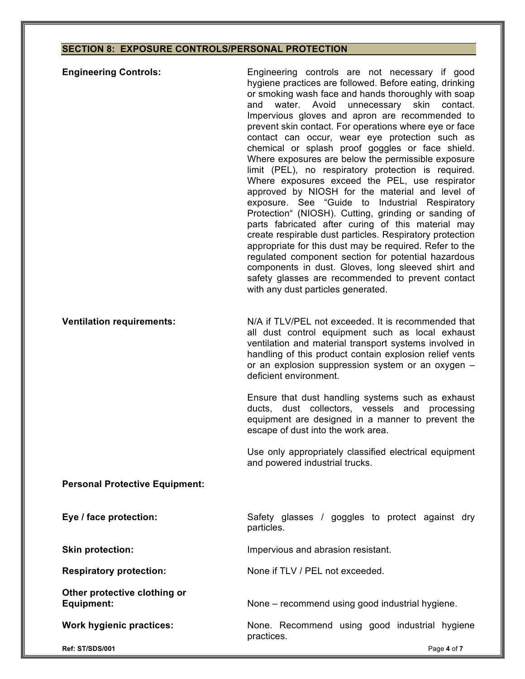# **SECTION 8: EXPOSURE CONTROLS/PERSONAL PROTECTION**

| <b>Engineering Controls:</b>                      | Engineering controls are not necessary if good<br>hygiene practices are followed. Before eating, drinking<br>or smoking wash face and hands thoroughly with soap<br>unnecessary skin contact.<br>water. Avoid<br>and<br>Impervious gloves and apron are recommended to<br>prevent skin contact. For operations where eye or face<br>contact can occur, wear eye protection such as<br>chemical or splash proof goggles or face shield.<br>Where exposures are below the permissible exposure<br>limit (PEL), no respiratory protection is required.<br>Where exposures exceed the PEL, use respirator<br>approved by NIOSH for the material and level of<br>exposure. See "Guide to Industrial Respiratory<br>Protection" (NIOSH). Cutting, grinding or sanding of<br>parts fabricated after curing of this material may<br>create respirable dust particles. Respiratory protection<br>appropriate for this dust may be required. Refer to the<br>regulated component section for potential hazardous<br>components in dust. Gloves, long sleeved shirt and<br>safety glasses are recommended to prevent contact<br>with any dust particles generated. |
|---------------------------------------------------|---------------------------------------------------------------------------------------------------------------------------------------------------------------------------------------------------------------------------------------------------------------------------------------------------------------------------------------------------------------------------------------------------------------------------------------------------------------------------------------------------------------------------------------------------------------------------------------------------------------------------------------------------------------------------------------------------------------------------------------------------------------------------------------------------------------------------------------------------------------------------------------------------------------------------------------------------------------------------------------------------------------------------------------------------------------------------------------------------------------------------------------------------------|
| <b>Ventilation requirements:</b>                  | N/A if TLV/PEL not exceeded. It is recommended that<br>all dust control equipment such as local exhaust<br>ventilation and material transport systems involved in<br>handling of this product contain explosion relief vents<br>or an explosion suppression system or an oxygen -<br>deficient environment.                                                                                                                                                                                                                                                                                                                                                                                                                                                                                                                                                                                                                                                                                                                                                                                                                                             |
|                                                   | Ensure that dust handling systems such as exhaust<br>ducts, dust collectors, vessels and processing<br>equipment are designed in a manner to prevent the<br>escape of dust into the work area.                                                                                                                                                                                                                                                                                                                                                                                                                                                                                                                                                                                                                                                                                                                                                                                                                                                                                                                                                          |
|                                                   | Use only appropriately classified electrical equipment<br>and powered industrial trucks.                                                                                                                                                                                                                                                                                                                                                                                                                                                                                                                                                                                                                                                                                                                                                                                                                                                                                                                                                                                                                                                                |
| <b>Personal Protective Equipment:</b>             |                                                                                                                                                                                                                                                                                                                                                                                                                                                                                                                                                                                                                                                                                                                                                                                                                                                                                                                                                                                                                                                                                                                                                         |
| Eye / face protection:                            | Safety glasses / goggles to protect against dry<br>particles.                                                                                                                                                                                                                                                                                                                                                                                                                                                                                                                                                                                                                                                                                                                                                                                                                                                                                                                                                                                                                                                                                           |
| <b>Skin protection:</b>                           | Impervious and abrasion resistant.                                                                                                                                                                                                                                                                                                                                                                                                                                                                                                                                                                                                                                                                                                                                                                                                                                                                                                                                                                                                                                                                                                                      |
| <b>Respiratory protection:</b>                    | None if TLV / PEL not exceeded.                                                                                                                                                                                                                                                                                                                                                                                                                                                                                                                                                                                                                                                                                                                                                                                                                                                                                                                                                                                                                                                                                                                         |
| Other protective clothing or<br><b>Equipment:</b> | None - recommend using good industrial hygiene.                                                                                                                                                                                                                                                                                                                                                                                                                                                                                                                                                                                                                                                                                                                                                                                                                                                                                                                                                                                                                                                                                                         |
| <b>Work hygienic practices:</b>                   | None. Recommend using good industrial hygiene<br>practices.                                                                                                                                                                                                                                                                                                                                                                                                                                                                                                                                                                                                                                                                                                                                                                                                                                                                                                                                                                                                                                                                                             |
| Ref: ST/SDS/001                                   | Page 4 of 7                                                                                                                                                                                                                                                                                                                                                                                                                                                                                                                                                                                                                                                                                                                                                                                                                                                                                                                                                                                                                                                                                                                                             |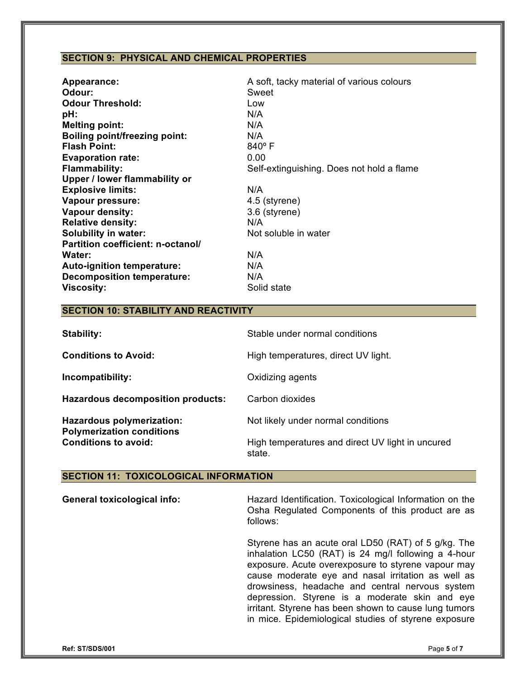# **SECTION 9: PHYSICAL AND CHEMICAL PROPERTIES**

| <b>Appearance:</b>                   | A soft, tacky material of various colours |
|--------------------------------------|-------------------------------------------|
| Odour:                               | Sweet                                     |
| <b>Odour Threshold:</b>              | Low                                       |
| pH:                                  | N/A                                       |
| <b>Melting point:</b>                | N/A                                       |
| <b>Boiling point/freezing point:</b> | N/A                                       |
| <b>Flash Point:</b>                  | $840^\circ$ F                             |
| <b>Evaporation rate:</b>             | 0.00                                      |
| <b>Flammability:</b>                 | Self-extinguishing. Does not hold a flame |
| Upper / lower flammability or        |                                           |
| <b>Explosive limits:</b>             | N/A                                       |
| Vapour pressure:                     | 4.5 (styrene)                             |
| <b>Vapour density:</b>               | 3.6 (styrene)                             |
| <b>Relative density:</b>             | N/A                                       |
| <b>Solubility in water:</b>          | Not soluble in water                      |
| Partition coefficient: n-octanol/    |                                           |
| Water:                               | N/A                                       |
| Auto-ignition temperature:           | N/A                                       |
| <b>Decomposition temperature:</b>    | N/A                                       |
| <b>Viscosity:</b>                    | Solid state                               |

# **SECTION 10: STABILITY AND REACTIVITY**

| Stability:                                                           | Stable under normal conditions                             |
|----------------------------------------------------------------------|------------------------------------------------------------|
| <b>Conditions to Avoid:</b>                                          | High temperatures, direct UV light.                        |
| Incompatibility:                                                     | Oxidizing agents                                           |
| Hazardous decomposition products:                                    | Carbon dioxides                                            |
| <b>Hazardous polymerization:</b><br><b>Polymerization conditions</b> | Not likely under normal conditions                         |
| <b>Conditions to avoid:</b>                                          | High temperatures and direct UV light in uncured<br>state. |

# **SECTION 11: TOXICOLOGICAL INFORMATION**

| <b>General toxicological info:</b> | Hazard Identification. Toxicological Information on the<br>Osha Regulated Components of this product are as<br>follows:                                                                                                                                                                                                                                                                                                                      |
|------------------------------------|----------------------------------------------------------------------------------------------------------------------------------------------------------------------------------------------------------------------------------------------------------------------------------------------------------------------------------------------------------------------------------------------------------------------------------------------|
|                                    | Styrene has an acute oral LD50 (RAT) of 5 g/kg. The<br>inhalation LC50 (RAT) is 24 mg/l following a 4-hour<br>exposure. Acute overexposure to styrene vapour may<br>cause moderate eye and nasal irritation as well as<br>drowsiness, headache and central nervous system<br>depression. Styrene is a moderate skin and eye<br>irritant. Styrene has been shown to cause lung tumors<br>in mice. Epidemiological studies of styrene exposure |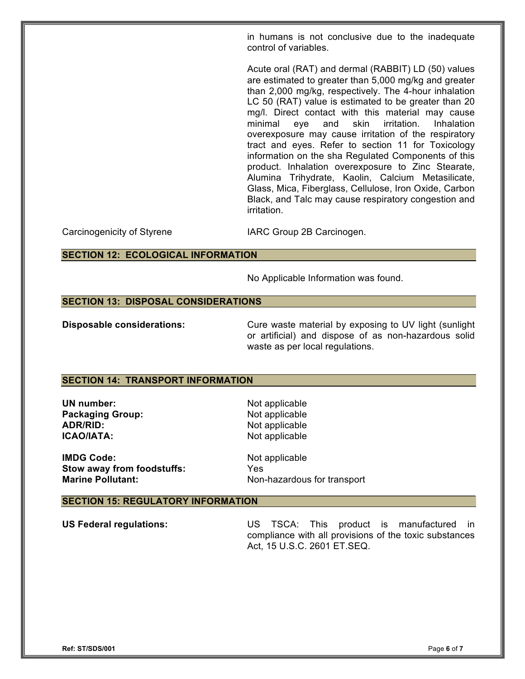in humans is not conclusive due to the inadequate control of variables.

Acute oral (RAT) and dermal (RABBIT) LD (50) values are estimated to greater than 5,000 mg/kg and greater than 2,000 mg/kg, respectively. The 4-hour inhalation LC 50 (RAT) value is estimated to be greater than 20 mg/l. Direct contact with this material may cause minimal eye and skin irritation. Inhalation overexposure may cause irritation of the respiratory tract and eyes. Refer to section 11 for Toxicology information on the sha Regulated Components of this product. Inhalation overexposure to Zinc Stearate, Alumina Trihydrate, Kaolin, Calcium Metasilicate, Glass, Mica, Fiberglass, Cellulose, Iron Oxide, Carbon Black, and Talc may cause respiratory congestion and irritation.

Carcinogenicity of Styrene **IARC Group 2B Carcinogen.** 

**SECTION 12: ECOLOGICAL INFORMATION**

No Applicable Information was found.

### **SECTION 13: DISPOSAL CONSIDERATIONS**

**Disposable considerations:** Cure waste material by exposing to UV light (sunlight or artificial) and dispose of as non-hazardous solid waste as per local regulations.

### **SECTION 14: TRANSPORT INFORMATION**

**UN number:** Not applicable **Packaging Group:** Not applicable **ADR/RID:** Not applicable **ICAO/IATA:** Not applicable

**IMDG Code:** Not applicable **Stow away from foodstuffs:** Yes **Marine Pollutant:** Non-hazardous for transport

#### **SECTION 15: REGULATORY INFORMATION**

**US Federal regulations:** US TSCA: This product is manufactured in compliance with all provisions of the toxic substances Act, 15 U.S.C. 2601 ET.SEQ.